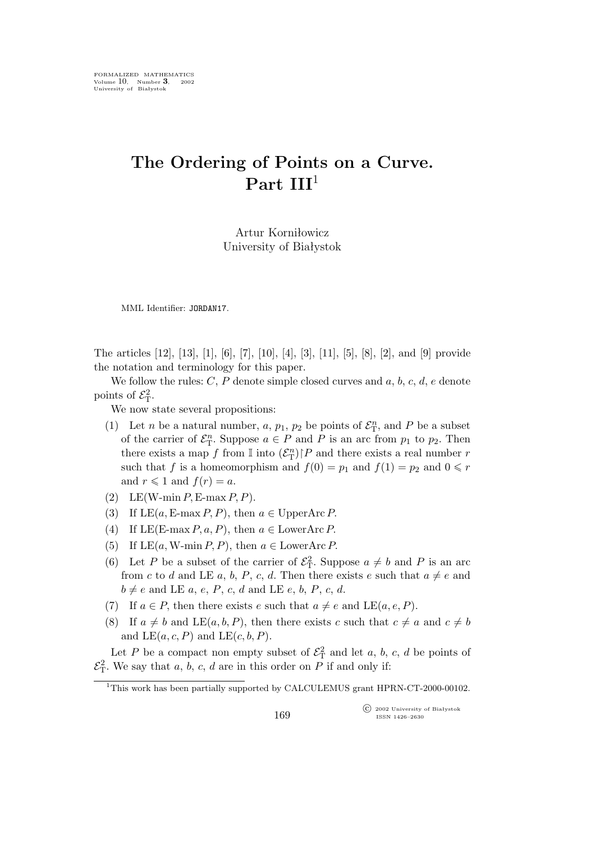## **The Ordering of Points on a Curve. Part III**<sup>1</sup>

Artur Korniłowicz University of Białystok

MML Identifier: JORDAN17.

The articles [12], [13], [1], [6], [7], [10], [4], [3], [11], [5], [8], [2], and [9] provide the notation and terminology for this paper.

We follow the rules:  $C, P$  denote simple closed curves and  $a, b, c, d, e$  denote points of  $\mathcal{E}_{\mathrm{T}}^2$ .

We now state several propositions:

- (1) Let *n* be a natural number, *a*,  $p_1$ ,  $p_2$  be points of  $\mathcal{E}_T^n$ , and *P* be a subset of the carrier of  $\mathcal{E}_T^n$ . Suppose  $a \in P$  and P is an arc from  $p_1$  to  $p_2$ . Then there exists a map f from  $\mathbb{I}$  into  $(\mathcal{E}_{\mathcal{T}}^{n})$ <sup>[</sup>P and there exists a real number r such that f is a homeomorphism and  $f(0) = p_1$  and  $f(1) = p_2$  and  $0 \le r$ and  $r \leqslant 1$  and  $f(r) = a$ .
- (2) LE(W-min  $P$ , E-max  $P$ ,  $P$ ).
- (3) If  $LE(a, E-max P, P)$ , then  $a \in \text{UpperArc } P$ .
- (4) If LE(E-max P, a, P), then  $a \in$  LowerArc P.
- (5) If  $LE(a, W\text{-min }P, P)$ , then  $a \in LowerArc P$ .
- (6) Let P be a subset of the carrier of  $\mathcal{E}_{\rm T}^2$ . Suppose  $a \neq b$  and P is an arc from c to d and LE a, b, P, c, d. Then there exists e such that  $a \neq e$  and  $b \neq e$  and LE a, e, P, c, d and LE e, b, P, c, d.
- (7) If  $a \in P$ , then there exists e such that  $a \neq e$  and LE(a, e, P).
- (8) If  $a \neq b$  and LE(a, b, P), then there exists c such that  $c \neq a$  and  $c \neq b$ and  $LE(a, c, P)$  and  $LE(c, b, P)$ .

Let P be a compact non empty subset of  $\mathcal{E}_{\mathcal{T}}^2$  and let a, b, c, d be points of  $\mathcal{E}_{\rm T}^2$ . We say that a, b, c, d are in this order on P if and only if:

°c 2002 University of Białystok ISSN 1426–2630

<sup>&</sup>lt;sup>1</sup>This work has been partially supported by CALCULEMUS grant HPRN-CT-2000-00102.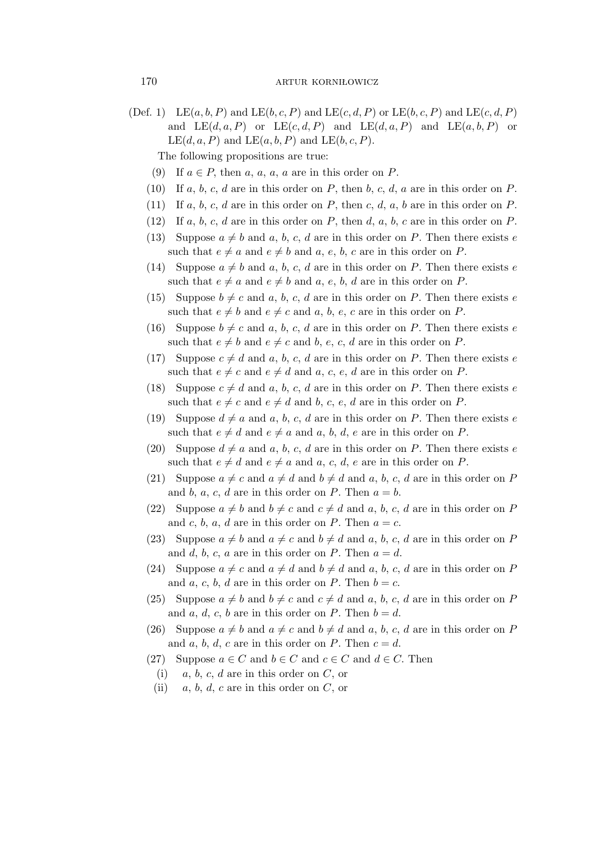(Def. 1) LE $(a, b, P)$  and LE $(b, c, P)$  and LE $(c, d, P)$  or LE $(b, c, P)$  and LE $(c, d, P)$ and  $LE(d, a, P)$  or  $LE(c, d, P)$  and  $LE(d, a, P)$  and  $LE(a, b, P)$  or  $LE(d, a, P)$  and  $LE(a, b, P)$  and  $LE(b, c, P)$ .

The following propositions are true:

- (9) If  $a \in P$ , then a, a, a, a are in this order on P.
- (10) If a, b, c, d are in this order on P, then b, c, d, a are in this order on P.
- (11) If a, b, c, d are in this order on P, then c, d, a, b are in this order on P.
- (12) If a, b, c, d are in this order on P, then d, a, b, c are in this order on P.
- (13) Suppose  $a \neq b$  and a, b, c, d are in this order on P. Then there exists e such that  $e \neq a$  and  $e \neq b$  and  $a, e, b, c$  are in this order on P.
- (14) Suppose  $a \neq b$  and  $a, b, c, d$  are in this order on P. Then there exists e such that  $e \neq a$  and  $e \neq b$  and  $a, e, b, d$  are in this order on P.
- (15) Suppose  $b \neq c$  and a, b, c, d are in this order on P. Then there exists e such that  $e \neq b$  and  $e \neq c$  and a, b, e, c are in this order on P.
- (16) Suppose  $b \neq c$  and a, b, c, d are in this order on P. Then there exists e such that  $e \neq b$  and  $e \neq c$  and b, e, c, d are in this order on P.
- (17) Suppose  $c \neq d$  and a, b, c, d are in this order on P. Then there exists e such that  $e \neq c$  and  $e \neq d$  and a, c, e, d are in this order on P.
- (18) Suppose  $c \neq d$  and a, b, c, d are in this order on P. Then there exists e such that  $e \neq c$  and  $e \neq d$  and b, c, e, d are in this order on P.
- (19) Suppose  $d \neq a$  and a, b, c, d are in this order on P. Then there exists e such that  $e \neq d$  and  $e \neq a$  and  $a, b, d, e$  are in this order on P.
- (20) Suppose  $d \neq a$  and  $a, b, c, d$  are in this order on P. Then there exists e such that  $e \neq d$  and  $e \neq a$  and  $a, c, d, e$  are in this order on P.
- (21) Suppose  $a \neq c$  and  $a \neq d$  and  $b \neq d$  and  $a, b, c, d$  are in this order on P and b, a, c, d are in this order on P. Then  $a = b$ .
- (22) Suppose  $a \neq b$  and  $b \neq c$  and  $c \neq d$  and  $a, b, c, d$  are in this order on P and c, b, a, d are in this order on P. Then  $a = c$ .
- (23) Suppose  $a \neq b$  and  $a \neq c$  and  $b \neq d$  and a, b, c, d are in this order on P and d, b, c, a are in this order on P. Then  $a = d$ .
- (24) Suppose  $a \neq c$  and  $a \neq d$  and  $b \neq d$  and a, b, c, d are in this order on P and a, c, b, d are in this order on P. Then  $b = c$ .
- (25) Suppose  $a \neq b$  and  $b \neq c$  and  $c \neq d$  and  $a, b, c, d$  are in this order on P and a, d, c, b are in this order on P. Then  $b = d$ .
- (26) Suppose  $a \neq b$  and  $a \neq c$  and  $b \neq d$  and a, b, c, d are in this order on P and a, b, d, c are in this order on P. Then  $c = d$ .
- (27) Suppose  $a \in C$  and  $b \in C$  and  $c \in C$  and  $d \in C$ . Then
	- (i)  $a, b, c, d$  are in this order on C, or
	- (ii)  $a, b, d, c$  are in this order on C, or